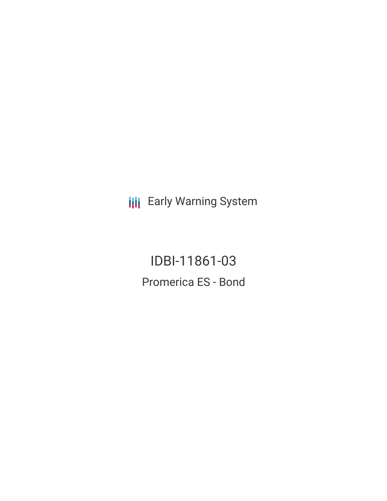**III** Early Warning System

IDBI-11861-03 Promerica ES - Bond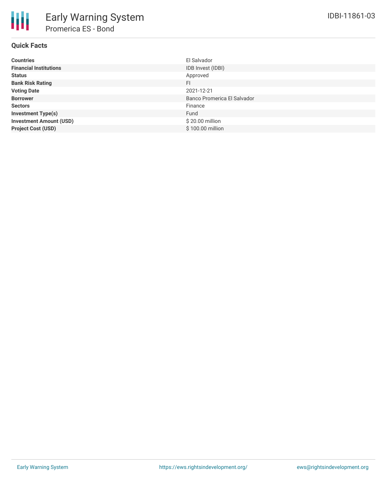## **Quick Facts**

| <b>Countries</b>               | El Salvador                 |
|--------------------------------|-----------------------------|
| <b>Financial Institutions</b>  | IDB Invest (IDBI)           |
| <b>Status</b>                  | Approved                    |
| <b>Bank Risk Rating</b>        | FI                          |
| <b>Voting Date</b>             | 2021-12-21                  |
| <b>Borrower</b>                | Banco Promerica El Salvador |
| <b>Sectors</b>                 | Finance                     |
| <b>Investment Type(s)</b>      | Fund                        |
| <b>Investment Amount (USD)</b> | \$20.00 million             |
| <b>Project Cost (USD)</b>      | \$100.00 million            |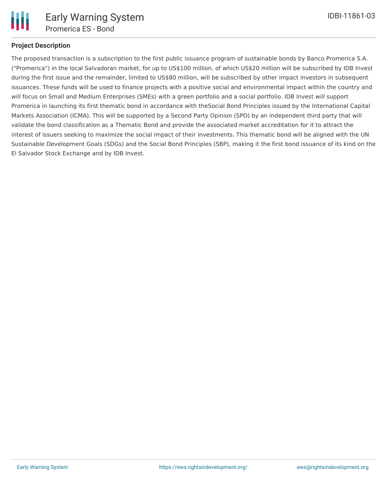

# **Project Description**

The proposed transaction is a subscription to the first public issuance program of sustainable bonds by Banco Promerica S.A. ("Promerica") in the local Salvadoran market, for up to US\$100 million, of which US\$20 million will be subscribed by IDB Invest during the first issue and the remainder, limited to US\$80 million, will be subscribed by other impact investors in subsequent issuances. These funds will be used to finance projects with a positive social and environmental impact within the country and will focus on Small and Medium Enterprises (SMEs) with a green portfolio and a social portfolio. IDB Invest will support Promerica in launching its first thematic bond in accordance with theSocial Bond Principles issued by the International Capital Markets Association (ICMA). This will be supported by a Second Party Opinion (SPO) by an independent third party that will validate the bond classification as a Thematic Bond and provide the associated market accreditation for it to attract the interest of issuers seeking to maximize the social impact of their investments. This thematic bond will be aligned with the UN Sustainable Development Goals (SDGs) and the Social Bond Principles (SBP), making it the first bond issuance of its kind on the El Salvador Stock Exchange and by IDB Invest.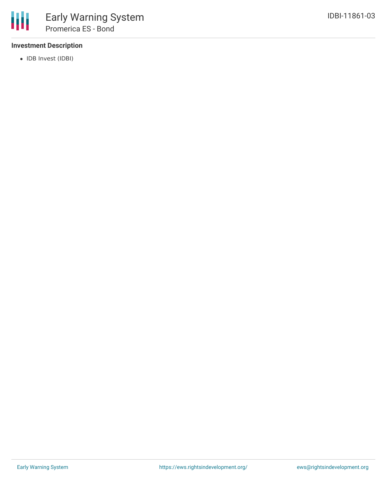### **Investment Description**

• IDB Invest (IDBI)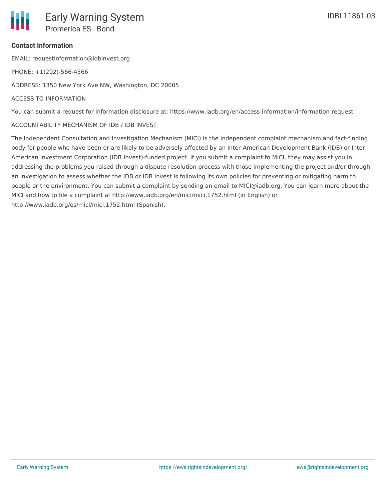### **Contact Information**

EMAIL: requestinformation@idbinvest.org

PHONE: +1(202)-566-4566

ADDRESS: 1350 New York Ave NW, Washington, DC 20005

#### ACCESS TO INFORMATION

You can submit a request for information disclosure at: https://www.iadb.org/en/access-information/information-request

#### ACCOUNTABILITY MECHANISM OF IDB / IDB INVEST

The Independent Consultation and Investigation Mechanism (MICI) is the independent complaint mechanism and fact-finding body for people who have been or are likely to be adversely affected by an Inter-American Development Bank (IDB) or Inter-American Investment Corporation (IDB Invest)-funded project. If you submit a complaint to MICI, they may assist you in addressing the problems you raised through a dispute-resolution process with those implementing the project and/or through an investigation to assess whether the IDB or IDB Invest is following its own policies for preventing or mitigating harm to people or the environment. You can submit a complaint by sending an email to MICI@iadb.org. You can learn more about the MICI and how to file a complaint at http://www.iadb.org/en/mici/mici,1752.html (in English) or http://www.iadb.org/es/mici/mici,1752.html (Spanish).